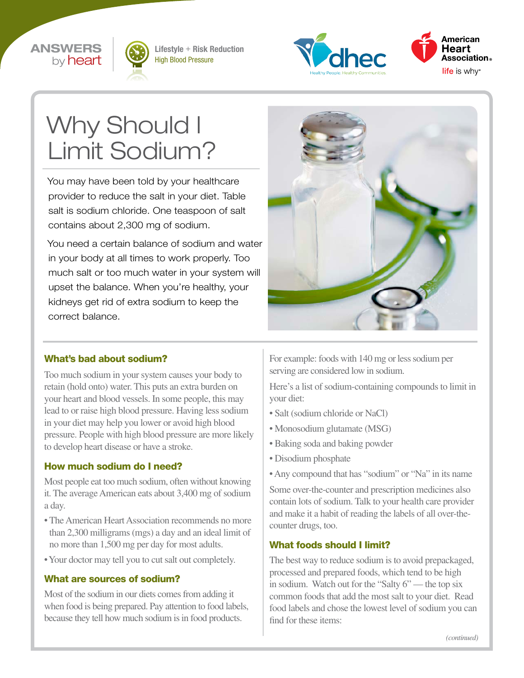



Lifestyle + Risk Reduction High Blood Pressure





# Why Should I Limit Sodium?

You may have been told by your healthcare provider to reduce the salt in your diet. Table salt is sodium chloride. One teaspoon of salt contains about 2,300 mg of sodium.

You need a certain balance of sodium and water in your body at all times to work properly. Too much salt or too much water in your system will upset the balance. When you're healthy, your kidneys get rid of extra sodium to keep the correct balance.



#### What's bad about sodium?

Too much sodium in your system causes your body to retain (hold onto) water. This puts an extra burden on your heart and blood vessels. In some people, this may lead to or raise high blood pressure. Having less sodium in your diet may help you lower or avoid high blood pressure. People with high blood pressure are more likely to develop heart disease or have a stroke.

#### How much sodium do I need?

Most people eat too much sodium, often without knowing it. The average American eats about 3,400 mg of sodium a day.

- The American Heart Association recommends no more than 2,300 milligrams (mgs) a day and an ideal limit of no more than 1,500 mg per day for most adults.
- Your doctor may tell you to cut salt out completely.

#### What are sources of sodium?

Most of the sodium in our diets comes from adding it when food is being prepared. Pay attention to food labels, because they tell how much sodium is in food products.

For example: foods with 140 mg or less sodium per serving are considered low in sodium.

Here's a list of sodium-containing compounds to limit in your diet:

- Salt (sodium chloride or NaCl)
- Monosodium glutamate (MSG)
- Baking soda and baking powder
- Disodium phosphate
- Any compound that has "sodium" or "Na" in its name

Some over-the-counter and prescription medicines also contain lots of sodium. Talk to your health care provider and make it a habit of reading the labels of all over-thecounter drugs, too.

#### What foods should I limit?

The best way to reduce sodium is to avoid prepackaged, processed and prepared foods, which tend to be high in sodium. Watch out for the "Salty 6" — the top six common foods that add the most salt to your diet. Read food labels and chose the lowest level of sodium you can find for these items: